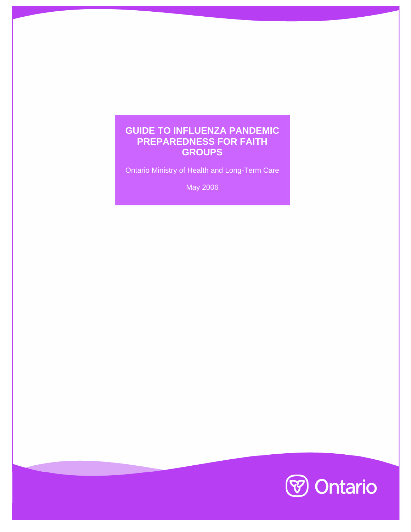## **GUIDE TO INFLUENZA PANDEMIC PREPAREDNESS FOR FAITH GROUPS**

Ontario Ministry of Health and Long-Term Care

May 2006

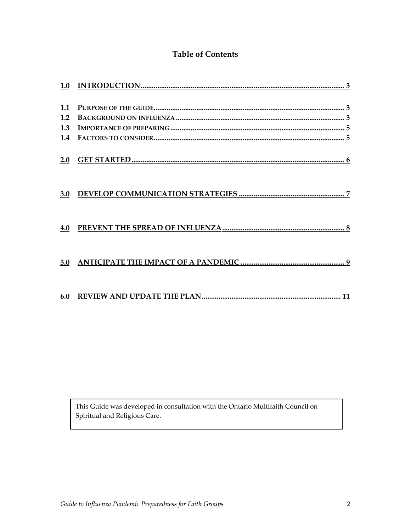### **Table of Contents**

| 1.1 |  |
|-----|--|
| 1.2 |  |
| 1.3 |  |
| 1.4 |  |
|     |  |
| 2.0 |  |
|     |  |
|     |  |
| 3.0 |  |
|     |  |
|     |  |
| 4.0 |  |
|     |  |
|     |  |
| 5.0 |  |
|     |  |
|     |  |
|     |  |
|     |  |

This Guide was developed in consultation with the Ontario Multifaith Council on Spiritual and Religious Care.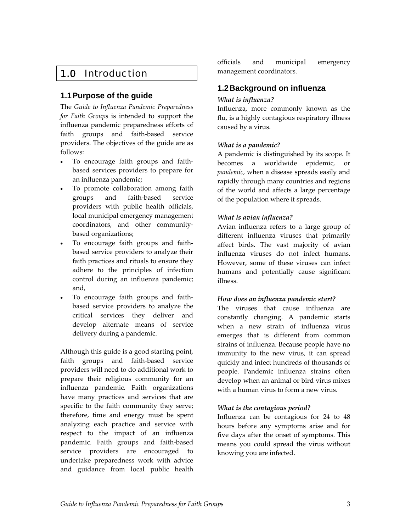# <span id="page-2-0"></span>1.0 Introduction

### **1.1 Purpose of the guide**

The *Guide to Influenza Pandemic Preparedness for Faith Groups* is intended to support the influenza pandemic preparedness efforts of faith groups and faith‐based service providers. The objectives of the guide are as follows:

- To encourage faith groups and faith‐ based services providers to prepare for an influenza pandemic;
- To promote collaboration among faith groups and faith‐based service providers with public health officials, local municipal emergency management coordinators, and other community‐ based organizations;
- To encourage faith groups and faithbased service providers to analyze their faith practices and rituals to ensure they adhere to the principles of infection control during an influenza pandemic; and,
- To encourage faith groups and faithbased service providers to analyze the critical services they deliver and develop alternate means of service delivery during a pandemic.

Although this guide is a good starting point, faith groups and faith‐based service providers will need to do additional work to prepare their religious community for an influenza pandemic. Faith organizations have many practices and services that are specific to the faith community they serve; therefore, time and energy must be spent analyzing each practice and service with respect to the impact of an influenza pandemic. Faith groups and faith‐based service providers are encouraged to undertake preparedness work with advice and guidance from local public health

officials and municipal emergency management coordinators.

### **1.2 Background on influenza**

#### *What is influenza?*

Influenza, more commonly known as the flu, is a highly contagious respiratory illness caused by a virus.

#### *What is a pandemic?*

A pandemic is distinguished by its scope. It becomes a worldwide epidemic, or *pandemic*, when a disease spreads easily and rapidly through many countries and regions of the world and affects a large percentage of the population where it spreads.

#### *What is avian influenza?*

Avian influenza refers to a large group of different influenza viruses that primarily affect birds. The vast majority of avian influenza viruses do not infect humans. However, some of these viruses can infect humans and potentially cause significant illness.

#### *How does an influenza pandemic start?*

The viruses that cause influenza are constantly changing. A pandemic starts when a new strain of influenza virus emerges that is different from common strains of influenza. Because people have no immunity to the new virus, it can spread quickly and infect hundreds of thousands of people. Pandemic influenza strains often develop when an animal or bird virus mixes with a human virus to form a new virus.

#### *What is the contagious period?*

Influenza can be contagious for 24 to 48 hours before any symptoms arise and for five days after the onset of symptoms. This means you could spread the virus without knowing you are infected.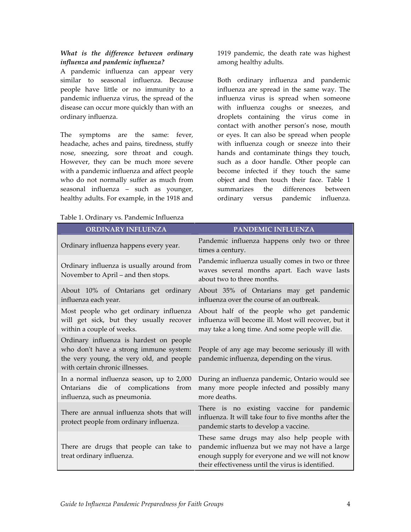#### *What is the difference between ordinary influenza and pandemic influenza?*

A pandemic influenza can appear very similar to seasonal influenza. Because people have little or no immunity to a pandemic influenza virus, the spread of the disease can occur more quickly than with an ordinary influenza.

The symptoms are the same: fever, headache, aches and pains, tiredness, stuffy nose, sneezing, sore throat and cough. However, they can be much more severe with a pandemic influenza and affect people who do not normally suffer as much from seasonal influenza – such as younger, healthy adults. For example, in the 1918 and

| Table 1. Ordinary vs. Pandemic Influenza |  |
|------------------------------------------|--|
|------------------------------------------|--|

1919 pandemic, the death rate was highest among healthy adults.

Both ordinary influenza and pandemic influenza are spread in the same way. The influenza virus is spread when someone with influenza coughs or sneezes, and droplets containing the virus come in contact with another person's nose, mouth or eyes. It can also be spread when people with influenza cough or sneeze into their hands and contaminate things they touch, such as a door handle. Other people can become infected if they touch the same object and then touch their face. Table 1 summarizes the differences between ordinary versus pandemic influenza.

| <b>ORDINARY INFLUENZA</b>                                                                                                                                        | PANDEMIC INFLUENZA                                                                                                                                                                                    |
|------------------------------------------------------------------------------------------------------------------------------------------------------------------|-------------------------------------------------------------------------------------------------------------------------------------------------------------------------------------------------------|
| Ordinary influenza happens every year.                                                                                                                           | Pandemic influenza happens only two or three<br>times a century.                                                                                                                                      |
| Ordinary influenza is usually around from<br>November to April – and then stops.                                                                                 | Pandemic influenza usually comes in two or three<br>waves several months apart. Each wave lasts<br>about two to three months.                                                                         |
| About 10% of Ontarians get ordinary<br>influenza each year.                                                                                                      | About 35% of Ontarians may get pandemic<br>influenza over the course of an outbreak.                                                                                                                  |
| Most people who get ordinary influenza<br>will get sick, but they usually recover<br>within a couple of weeks.                                                   | About half of the people who get pandemic<br>influenza will become ill. Most will recover, but it<br>may take a long time. And some people will die.                                                  |
| Ordinary influenza is hardest on people<br>who don't have a strong immune system:<br>the very young, the very old, and people<br>with certain chronic illnesses. | People of any age may become seriously ill with<br>pandemic influenza, depending on the virus.                                                                                                        |
| In a normal influenza season, up to 2,000<br>Ontarians die of complications<br>from<br>influenza, such as pneumonia.                                             | During an influenza pandemic, Ontario would see<br>many more people infected and possibly many<br>more deaths.                                                                                        |
| There are annual influenza shots that will<br>protect people from ordinary influenza.                                                                            | There is no existing vaccine for pandemic<br>influenza. It will take four to five months after the<br>pandemic starts to develop a vaccine.                                                           |
| There are drugs that people can take to<br>treat ordinary influenza.                                                                                             | These same drugs may also help people with<br>pandemic influenza but we may not have a large<br>enough supply for everyone and we will not know<br>their effectiveness until the virus is identified. |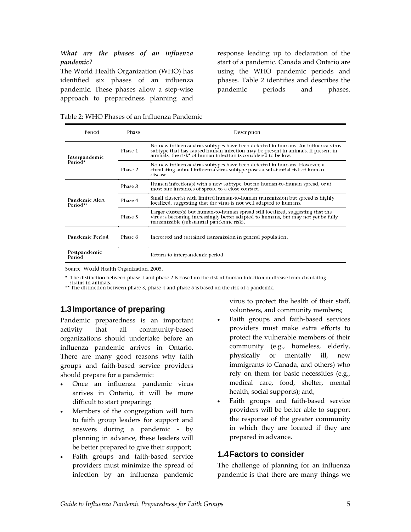#### <span id="page-4-0"></span>*What are the phases of an influenza pandemic?*

The World Health Organization (WHO) has identified six phases of an influenza pandemic. These phases allow a step‐wise approach to preparedness planning and

response leading up to declaration of the start of a pandemic. Canada and Ontario are using the WHO pandemic periods and phases. Table 2 identifies and describes the pandemic periods and phases.

| Table 2: WHO Phases of an Influenza Pandemic |  |  |  |  |
|----------------------------------------------|--|--|--|--|
|----------------------------------------------|--|--|--|--|

| Period                     | Phase   | Description                                                                                                                                                                                                                         |
|----------------------------|---------|-------------------------------------------------------------------------------------------------------------------------------------------------------------------------------------------------------------------------------------|
| Interpandemic              | Phase 1 | No new influenza virus subtypes have been detected in humans. An influenza virus<br>subtype that has caused human infection may be present in animals. If present in animals, the risk* of human infection is considered to be low. |
| Period*                    | Phase 2 | No new influenza virus subtypes have been detected in humans. However, a<br>circulating animal influenza virus subtype poses a substantial risk of human<br>disease.                                                                |
|                            | Phase 3 | Human infection(s) with a new subtype, but no human-to-human spread, or at<br>most rare instances of spread to a close contact.                                                                                                     |
| Pandemic Alert<br>Period** | Phase 4 | Small cluster(s) with limited human-to-human transmission but spread is highly<br>localized, suggesting that the virus is not well adapted to humans.                                                                               |
|                            | Phase 5 | Larger cluster(s) but human-to-human spread still localized, suggesting that the<br>virus is becoming increasingly better adapted to humans, but may not yet be fully<br>transmissible (substantial pandemic risk).                 |
| <b>Pandemic Period</b>     | Phase 6 | Increased and sustained transmission in general population.                                                                                                                                                                         |
| Postpandemic<br>Period     |         | Return to interpandemic period                                                                                                                                                                                                      |

Source: World Health Organization, 2005.

\* The distinction between phase 1 and phase 2 is based on the risk of human infection or disease from circulating strains in animals.

\*\* The distinction between phase 3, phase 4 and phase 5 is based on the risk of a pandemic.

#### **1.3 Importance of preparing**

Pandemic preparedness is an important activity that all community‐based organizations should undertake before an influenza pandemic arrives in Ontario. There are many good reasons why faith groups and faith‐based service providers should prepare for a pandemic:

- Once an influenza pandemic virus arrives in Ontario, it will be more difficult to start preparing;
- Members of the congregation will turn to faith group leaders for support and answers during a pandemic ‐ by planning in advance, these leaders will be better prepared to give their support;
- Faith groups and faith‐based service providers must minimize the spread of infection by an influenza pandemic

virus to protect the health of their staff, volunteers, and community members;

- Faith groups and faith-based services providers must make extra efforts to protect the vulnerable members of their community (e.g., homeless, elderly, physically or mentally ill, new immigrants to Canada, and others) who rely on them for basic necessities (e.g., medical care, food, shelter, mental health, social supports); and,
- Faith groups and faith-based service providers will be better able to support the response of the greater community in which they are located if they are prepared in advance.

#### **1.4 Factors to consider**

The challenge of planning for an influenza pandemic is that there are many things we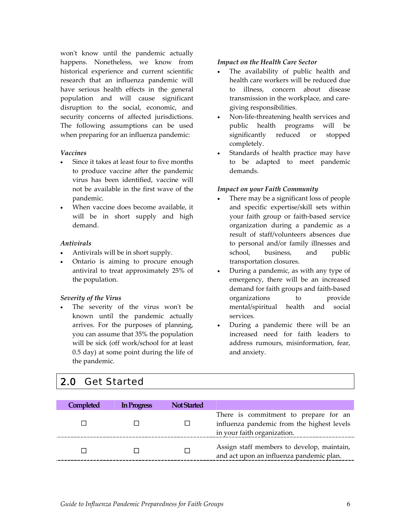<span id="page-5-0"></span>won't know until the pandemic actually happens. Nonetheless, we know from historical experience and current scientific research that an influenza pandemic will have serious health effects in the general population and will cause significant disruption to the social, economic, and security concerns of affected jurisdictions. The following assumptions can be used when preparing for an influenza pandemic:

#### *Vaccines*

- Since it takes at least four to five months to produce vaccine after the pandemic virus has been identified, vaccine will not be available in the first wave of the pandemic.
- When vaccine does become available, it will be in short supply and high demand.

#### *Antivirals*

- Antivirals will be in short supply.
- Ontario is aiming to procure enough antiviral to treat approximately 25% of the population.

#### *Severity of the Virus*

The severity of the virus won't be known until the pandemic actually arrives. For the purposes of planning, you can assume that 35% the population will be sick (off work/school for at least 0.5 day) at some point during the life of the pandemic.

#### *Impact on the Health Care Sector*

- The availability of public health and health care workers will be reduced due to illness, concern about disease transmission in the workplace, and care‐ giving responsibilities.
- Non-life-threatening health services and public health programs will be significantly reduced or stopped completely.
- Standards of health practice may have to be adapted to meet pandemic demands.

#### *Impact on your Faith Community*

- There may be a significant loss of people and specific expertise/skill sets within your faith group or faith‐based service organization during a pandemic as a result of staff/volunteers absences due to personal and/or family illnesses and school, business, and public transportation closures.
- During a pandemic, as with any type of emergency, there will be an increased demand for faith groups and faith‐based organizations to provide mental/spiritual health and social services.
- During a pandemic there will be an increased need for faith leaders to address rumours, misinformation, fear, and anxiety.

## 2.0 Get Started

| Completed | In Progress | <b>Not Started</b> |                                                                                                                    |
|-----------|-------------|--------------------|--------------------------------------------------------------------------------------------------------------------|
|           |             | ΙI                 | There is commitment to prepare for an<br>influenza pandemic from the highest levels<br>in your faith organization. |
|           |             | Г                  | Assign staff members to develop, maintain,<br>and act upon an influenza pandemic plan.                             |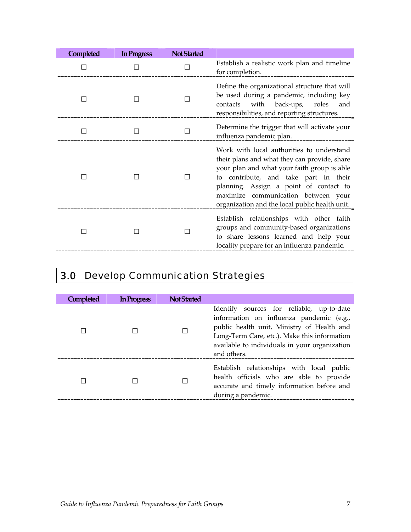<span id="page-6-0"></span>

| Completed | In Progress | <b>Not Started</b> |                                                                                                                                                                                                                                                                                                                      |
|-----------|-------------|--------------------|----------------------------------------------------------------------------------------------------------------------------------------------------------------------------------------------------------------------------------------------------------------------------------------------------------------------|
|           |             |                    | Establish a realistic work plan and timeline<br>for completion.                                                                                                                                                                                                                                                      |
|           |             |                    | Define the organizational structure that will<br>be used during a pandemic, including key<br>contacts with back-ups, roles<br>and<br>responsibilities, and reporting structures.                                                                                                                                     |
| $\perp$   |             |                    | Determine the trigger that will activate your<br>influenza pandemic plan.                                                                                                                                                                                                                                            |
|           |             |                    | Work with local authorities to understand<br>their plans and what they can provide, share<br>your plan and what your faith group is able<br>to contribute, and take part in their<br>planning. Assign a point of contact to<br>maximize communication between your<br>organization and the local public health unit. |
|           |             |                    | Establish relationships with other faith<br>groups and community-based organizations<br>to share lessons learned and help your<br>locality prepare for an influenza pandemic.                                                                                                                                        |

# 3.0 Develop Communication Strategies

| Completed | In Progress | <b>Not Started</b> |                                                                                                                                                                                                                                                     |
|-----------|-------------|--------------------|-----------------------------------------------------------------------------------------------------------------------------------------------------------------------------------------------------------------------------------------------------|
|           |             |                    | Identify sources for reliable, up-to-date<br>information on influenza pandemic (e.g.,<br>public health unit, Ministry of Health and<br>Long-Term Care, etc.). Make this information<br>available to individuals in your organization<br>and others. |
|           |             |                    | Establish relationships with local public<br>health officials who are able to provide<br>accurate and timely information before and<br>during a pandemic.                                                                                           |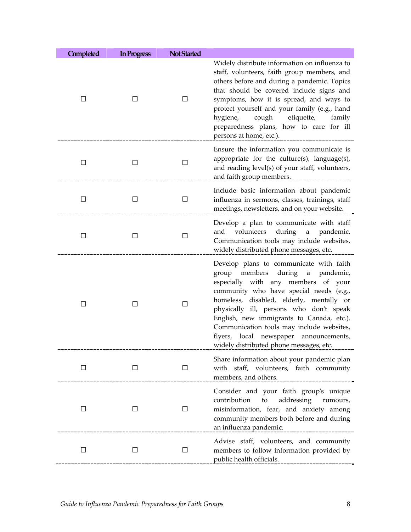| <b>Completed</b> | In Progress | <b>Not Started</b> |                                                                                                                                                                                                                                                                                                                                                                                                                                     |
|------------------|-------------|--------------------|-------------------------------------------------------------------------------------------------------------------------------------------------------------------------------------------------------------------------------------------------------------------------------------------------------------------------------------------------------------------------------------------------------------------------------------|
| □                | □           | □                  | Widely distribute information on influenza to<br>staff, volunteers, faith group members, and<br>others before and during a pandemic. Topics<br>that should be covered include signs and<br>symptoms, how it is spread, and ways to<br>protect yourself and your family (e.g., hand<br>hygiene, cough<br>etiquette,<br>family<br>preparedness plans, how to care for ill<br>persons at home, etc.).                                  |
| □                | $\Box$      | □                  | Ensure the information you communicate is<br>appropriate for the culture(s), language(s),<br>and reading level(s) of your staff, volunteers,<br>and faith group members.                                                                                                                                                                                                                                                            |
| □                | □           | □                  | Include basic information about pandemic<br>influenza in sermons, classes, trainings, staff<br>meetings, newsletters, and on your website.                                                                                                                                                                                                                                                                                          |
| □                | □           | □                  | Develop a plan to communicate with staff<br>during a pandemic.<br>volunteers<br>and<br>Communication tools may include websites,<br>widely distributed phone messages, etc.                                                                                                                                                                                                                                                         |
| ΙI               | □           | □                  | Develop plans to communicate with faith<br>group members during a pandemic,<br>especially with any members of your<br>community who have special needs (e.g.,<br>homeless, disabled, elderly, mentally or<br>physically ill, persons who don't speak<br>English, new immigrants to Canada, etc.).<br>Communication tools may include websites,<br>flyers, local newspaper announcements,<br>widely distributed phone messages, etc. |
|                  | ĪΙ          | l I                | Share information about your pandemic plan<br>with staff, volunteers, faith community<br>members, and others.                                                                                                                                                                                                                                                                                                                       |
| ப                | □           | □                  | Consider and your faith group's unique<br>contribution<br>addressing<br>to<br>rumours,<br>misinformation, fear, and anxiety among<br>community members both before and during<br>an influenza pandemic.                                                                                                                                                                                                                             |
| □                | □           | □                  | Advise staff, volunteers, and community<br>members to follow information provided by<br>public health officials.                                                                                                                                                                                                                                                                                                                    |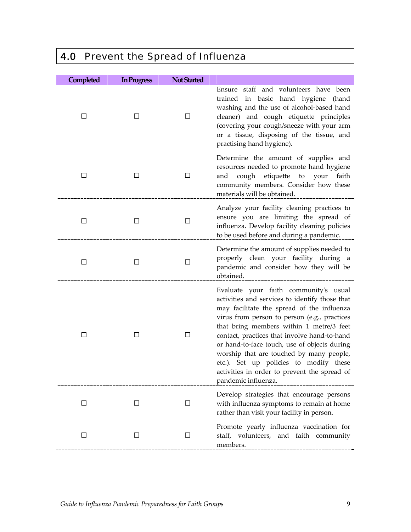# <span id="page-8-0"></span>4.0 Prevent the Spread of Influenza

| Completed | In Progress  | <b>Not Started</b> |                                                                                                                                                                                                                                                                                                                                                                                                                                                                                                |
|-----------|--------------|--------------------|------------------------------------------------------------------------------------------------------------------------------------------------------------------------------------------------------------------------------------------------------------------------------------------------------------------------------------------------------------------------------------------------------------------------------------------------------------------------------------------------|
| □         | ப            | □                  | Ensure staff and volunteers have been<br>trained in basic hand hygiene (hand<br>washing and the use of alcohol-based hand<br>cleaner) and cough etiquette principles<br>(covering your cough/sneeze with your arm<br>or a tissue, disposing of the tissue, and<br>practising hand hygiene).                                                                                                                                                                                                    |
| □         | $\mathsf{L}$ | □                  | Determine the amount of supplies and<br>resources needed to promote hand hygiene<br>cough<br>etiquette<br>to<br>your<br>and<br>faith<br>community members. Consider how these<br>materials will be obtained.                                                                                                                                                                                                                                                                                   |
| □         | □            | □                  | Analyze your facility cleaning practices to<br>ensure you are limiting the spread of<br>influenza. Develop facility cleaning policies<br>to be used before and during a pandemic.                                                                                                                                                                                                                                                                                                              |
| □         | □            | □                  | Determine the amount of supplies needed to<br>properly clean your facility during a<br>pandemic and consider how they will be<br>obtained.                                                                                                                                                                                                                                                                                                                                                     |
| □         | □            | □                  | Evaluate your faith community's usual<br>activities and services to identify those that<br>may facilitate the spread of the influenza<br>virus from person to person (e.g., practices<br>that bring members within 1 metre/3 feet<br>contact, practices that involve hand-to-hand<br>or hand-to-face touch, use of objects during<br>worship that are touched by many people,<br>etc.). Set up policies to modify these<br>activities in order to prevent the spread of<br>pandemic influenza. |
| □         | $\Box$       | ⊔                  | Develop strategies that encourage persons<br>with influenza symptoms to remain at home<br>rather than visit your facility in person.                                                                                                                                                                                                                                                                                                                                                           |
| □         | $\Box$       | $\Box$             | Promote yearly influenza vaccination for<br>staff, volunteers, and faith community<br>members.                                                                                                                                                                                                                                                                                                                                                                                                 |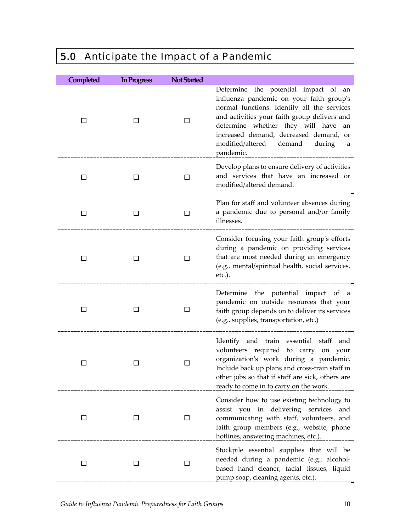# <span id="page-9-0"></span>5.0 Anticipate the Impact of a Pandemic

| Completed | In Progress | <b>Not Started</b> |                                                                                                                                                                                                                                                                                                                   |
|-----------|-------------|--------------------|-------------------------------------------------------------------------------------------------------------------------------------------------------------------------------------------------------------------------------------------------------------------------------------------------------------------|
| П         | П           | П                  | Determine the potential impact of an<br>influenza pandemic on your faith group's<br>normal functions. Identify all the services<br>and activities your faith group delivers and<br>determine whether they will have an<br>increased demand, decreased demand, or<br>modified/altered demand during a<br>pandemic. |
| П         | □           | П                  | Develop plans to ensure delivery of activities<br>and services that have an increased or<br>modified/altered demand.                                                                                                                                                                                              |
| □         | □           | □                  | Plan for staff and volunteer absences during<br>a pandemic due to personal and/or family<br>illnesses.                                                                                                                                                                                                            |
|           |             |                    | Consider focusing your faith group's efforts<br>during a pandemic on providing services<br>that are most needed during an emergency<br>(e.g., mental/spiritual health, social services,<br>$etc.$ ).                                                                                                              |
| П         | П           | ΙI                 | Determine the potential impact of a<br>pandemic on outside resources that your<br>faith group depends on to deliver its services<br>(e.g., supplies, transportation, etc.)                                                                                                                                        |
|           |             |                    | Identify and train essential staff and<br>volunteers required to carry on your<br>organization's work during a pandemic.<br>Include back up plans and cross-train staff in<br>other jobs so that if staff are sick, others are<br>ready to come in to carry on the work.                                          |
| ப         | ⊔           | □                  | Consider how to use existing technology to<br>assist you in delivering services<br>and<br>communicating with staff, volunteers, and<br>faith group members (e.g., website, phone<br>hotlines, answering machines, etc.).                                                                                          |
| $\Box$    | ⊔           | □                  | Stockpile essential supplies that will be<br>needed during a pandemic (e.g., alcohol-<br>based hand cleaner, facial tissues, liquid<br>pump soap, cleaning agents, etc.).                                                                                                                                         |